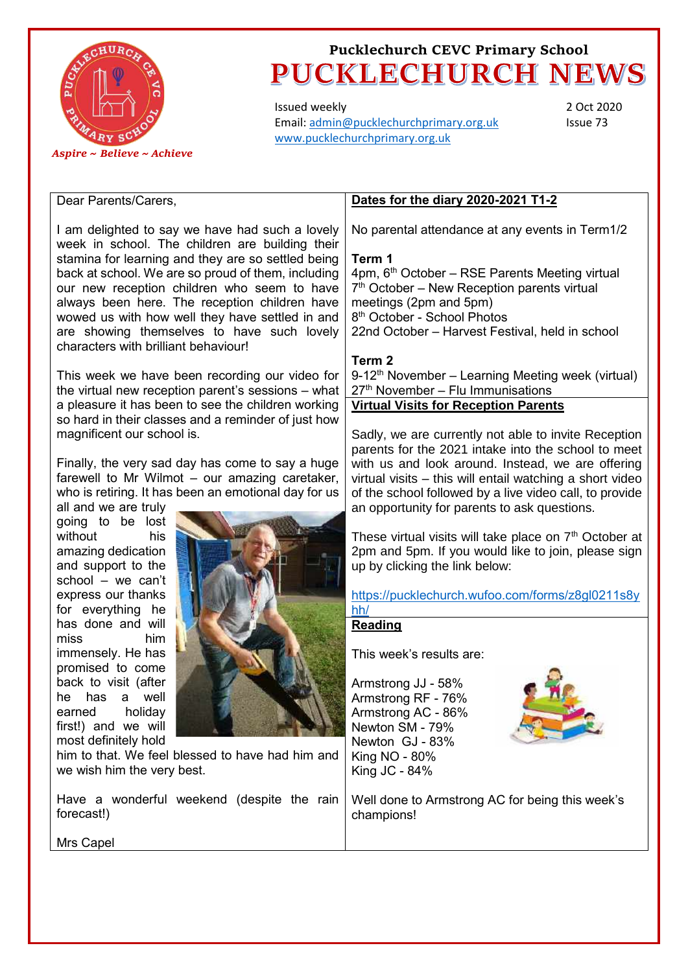

Issued weekly Email[: admin@pucklechurchprimary.org.uk](mailto:admin@pucklechurchprimary.org.uk) [www.pucklechurchprimary.org.uk](http://www.pucklechurchprimary.org.uk/)

2 Oct 2020 Issue 73

#### Dear Parents/Carers,

I am delighted to say we have had such a lovely week in school. The children are building their stamina for learning and they are so settled being back at school. We are so proud of them, including our new reception children who seem to have always been here. The reception children have wowed us with how well they have settled in and are showing themselves to have such lovely characters with brilliant behaviour!

This week we have been recording our video for the virtual new reception parent's sessions – what a pleasure it has been to see the children working so hard in their classes and a reminder of just how magnificent our school is.

Finally, the very sad day has come to say a huge farewell to Mr Wilmot – our amazing caretaker, who is retiring. It has been an emotional day for us

all and we are truly going to be lost without his amazing dedication and support to the school – we can't express our thanks for everything he has done and will miss him immensely. He has promised to come back to visit (after he has a well earned holiday first!) and we will most definitely hold



him to that. We feel blessed to have had him and we wish him the very best.

Have a wonderful weekend (despite the rain forecast!)

### **Dates for the diary 2020-2021 T1-2**

No parental attendance at any events in Term1/2

#### **Term 1**

4pm, 6th October – RSE Parents Meeting virtual 7<sup>th</sup> October – New Reception parents virtual meetings (2pm and 5pm) 8 th October - School Photos 22nd October – Harvest Festival, held in school

#### **Term 2**

 $9-12<sup>th</sup>$  November – Learning Meeting week (virtual) 27<sup>th</sup> November – Flu Immunisations **Virtual Visits for Reception Parents**

Sadly, we are currently not able to invite Reception parents for the 2021 intake into the school to meet with us and look around. Instead, we are offering virtual visits – this will entail watching a short video of the school followed by a live video call, to provide an opportunity for parents to ask questions.

These virtual visits will take place on 7<sup>th</sup> October at 2pm and 5pm. If you would like to join, please sign up by clicking the link below:

[https://pucklechurch.wufoo.com/forms/z8gl0211s8y](https://pucklechurch.wufoo.com/forms/z8gl0211s8yhh/) [hh/](https://pucklechurch.wufoo.com/forms/z8gl0211s8yhh/)

#### **Reading**

This week's results are:

Armstrong JJ - 58% Armstrong RF - 76% Armstrong AC - 86% Newton SM - 79% Newton GJ - 83% King NO - 80% King JC - 84%



Well done to Armstrong AC for being this week's champions!

Mrs Capel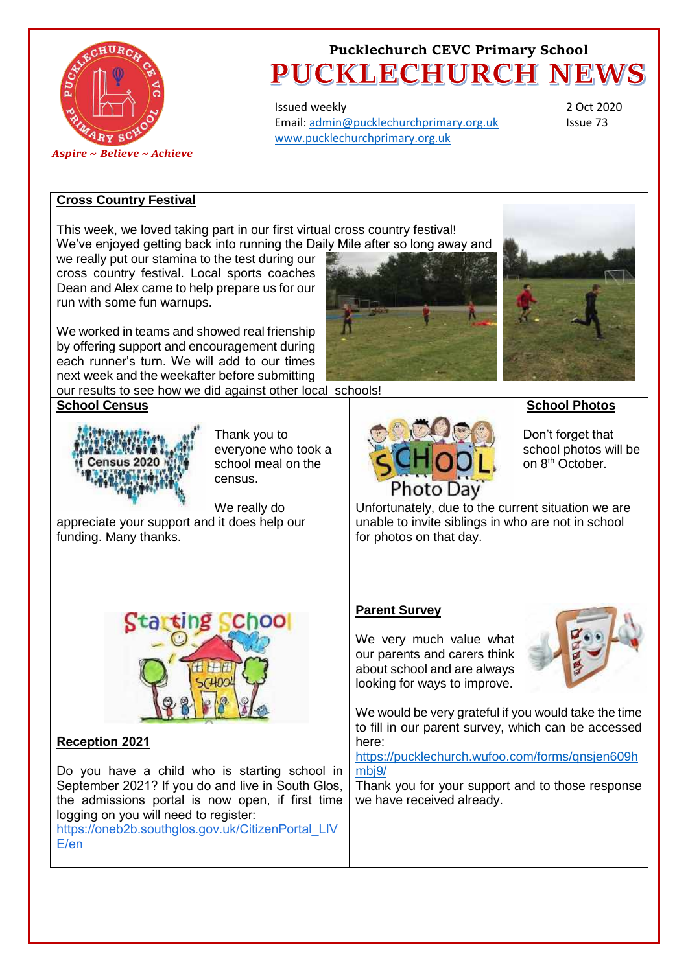

Issued weekly Email[: admin@pucklechurchprimary.org.uk](mailto:admin@pucklechurchprimary.org.uk) [www.pucklechurchprimary.org.uk](http://www.pucklechurchprimary.org.uk/)

2 Oct 2020 Issue 73

### **Cross Country Festival**

This week, we loved taking part in our first virtual cross country festival! We've enjoyed getting back into running the Daily Mile after so long away and

we really put our stamina to the test during our cross country festival. Local sports coaches Dean and Alex came to help prepare us for our run with some fun warnups.

We worked in teams and showed real frienship by offering support and encouragement during each runner's turn. We will add to our times next week and the weekafter before submitting our results to see how we did against other local schools!

**School Census** 



Thank you to everyone who took a school meal on the census.

We really do appreciate your support and it does help our funding. Many thanks.





**School Photos**



Don't forget that school photos will be on 8th October.

Unfortunately, due to the current situation we are unable to invite siblings in who are not in school for photos on that day.



### **Reception 2021**

Do you have a child who is starting school in September 2021? If you do and live in South Glos, the admissions portal is now open, if first time logging on you will need to register:

[https://oneb2b.southglos.gov.uk/CitizenPortal\\_LIV](https://oneb2b.southglos.gov.uk/CitizenPortal_LIVE/en?fbclid=IwAR1OHbs5iaIhXBMwnAMFGpuiVwRPHHe5V7s4NrgqCMqqhCove7hKu_Jobt4) [E/en](https://oneb2b.southglos.gov.uk/CitizenPortal_LIVE/en?fbclid=IwAR1OHbs5iaIhXBMwnAMFGpuiVwRPHHe5V7s4NrgqCMqqhCove7hKu_Jobt4)

### **Parent Survey**

We very much value what our parents and carers think about school and are always looking for ways to improve.



We would be very grateful if you would take the time to fill in our parent survey, which can be accessed here:

[https://pucklechurch.wufoo.com/forms/qnsjen609h](https://pucklechurch.wufoo.com/forms/qnsjen609hmbj9/) mbi9/

Thank you for your support and to those response we have received already.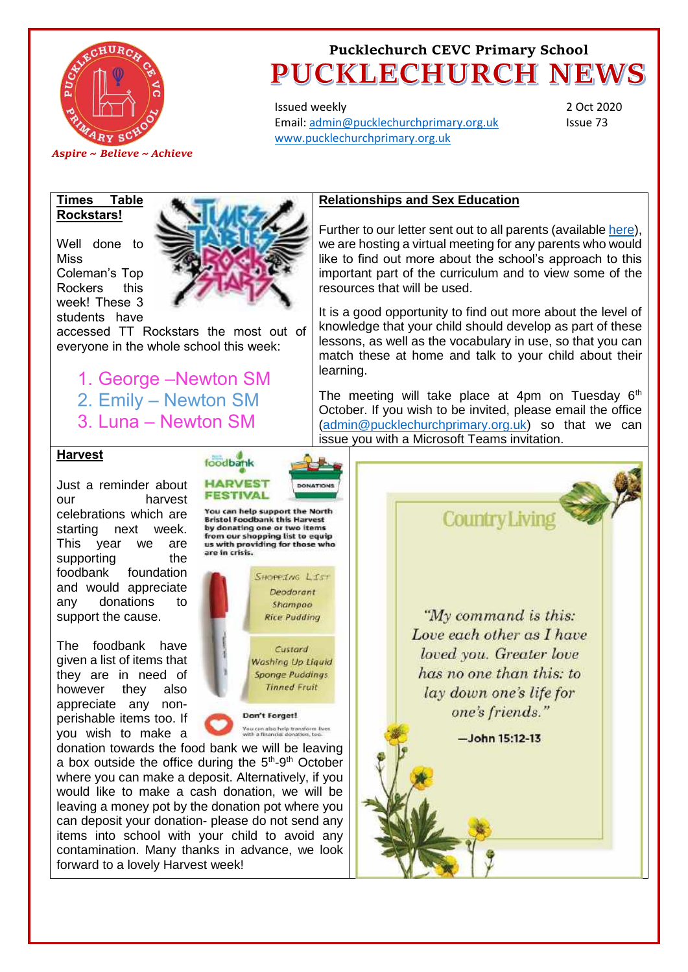

Issued weekly Email[: admin@pucklechurchprimary.org.uk](mailto:admin@pucklechurchprimary.org.uk) [www.pucklechurchprimary.org.uk](http://www.pucklechurchprimary.org.uk/)

2 Oct 2020 Issue 73

#### **Times Table Rockstars!**

Well done to **Miss** Coleman's Top Rockers this week! These 3 students have

accessed TT Rockstars the most out of everyone in the whole school this week:

1. George –Newton SM 2. Emily – Newton SM 3. Luna – Newton SM

### **Relationships and Sex Education**

Further to our letter sent out to all parents (available [here\)](http://pucklechurchprimary.org.uk/index.php/Letters-to-Parents), we are hosting a virtual meeting for any parents who would like to find out more about the school's approach to this important part of the curriculum and to view some of the resources that will be used.

It is a good opportunity to find out more about the level of knowledge that your child should develop as part of these lessons, as well as the vocabulary in use, so that you can match these at home and talk to your child about their learning.

The meeting will take place at 4pm on Tuesday  $6<sup>th</sup>$ October. If you wish to be invited, please email the office [\(admin@pucklechurchprimary.org.uk\)](mailto:admin@pucklechurchprimary.org.uk) so that we can issue you with a Microsoft Teams invitation.

#### **Harvest**

Just a reminder about our harvest celebrations which are starting next week. This year we are supporting the foodbank foundation and would appreciate any donations to support the cause.

The foodbank have given a list of items that they are in need of however they also appreciate any nonperishable items too. If you wish to make a

**Bristol Foodbank this Harvest** by donating one or two items from our shopping list to equip us with providing for those who are in crisis. SHOPPING LIST Deodorant Shampoo **Rice Pudding** 

You can help support the North

Custard Washing Up Liquid **Sponge Puddings Tinned Fruit** 

Don't Forget! You can also help transform lives<br>with a financial donation, too.

donation towards the food bank we will be leaving a box outside the office during the  $5<sup>th</sup>-9<sup>th</sup>$  October where you can make a deposit. Alternatively, if you would like to make a cash donation, we will be leaving a money pot by the donation pot where you can deposit your donation- please do not send any items into school with your child to avoid any contamination. Many thanks in advance, we look forward to a lovely Harvest week!





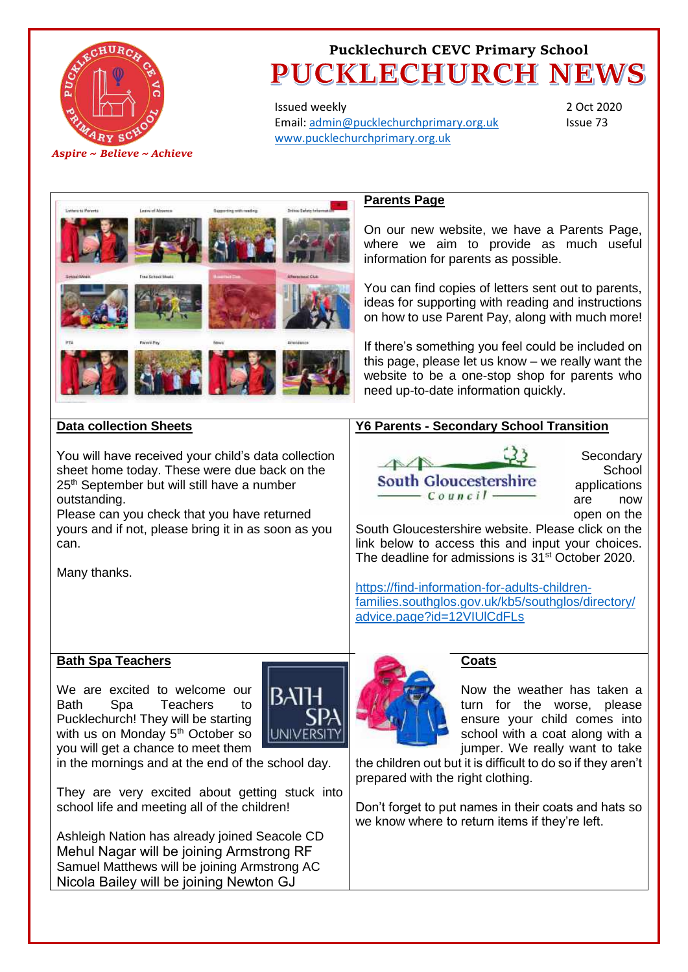

Issued weekly Email[: admin@pucklechurchprimary.org.uk](mailto:admin@pucklechurchprimary.org.uk) [www.pucklechurchprimary.org.uk](http://www.pucklechurchprimary.org.uk/)

2 Oct 2020 Issue 73